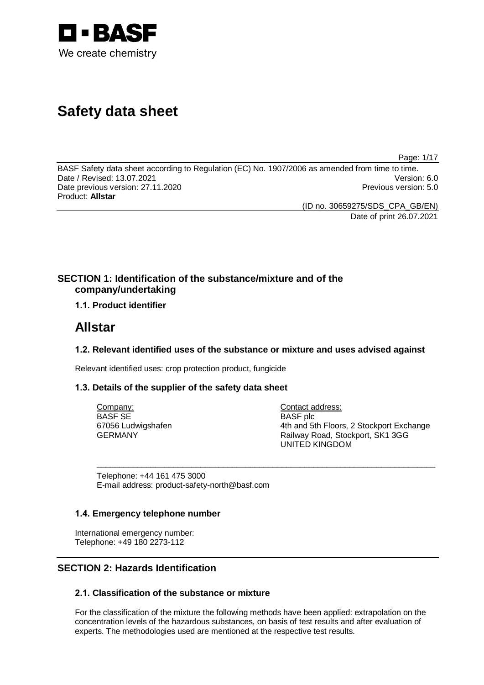

# **Safety data sheet**

Page: 1/17

BASF Safety data sheet according to Regulation (EC) No. 1907/2006 as amended from time to time. Date / Revised: 13.07.2021 Version: 6.0 Date previous version: 27.11.2020 **Previous version: 5.0** Previous version: 5.0 Product: **Allstar**

(ID no. 30659275/SDS\_CPA\_GB/EN) Date of print 26.07.2021

## **SECTION 1: Identification of the substance/mixture and of the company/undertaking**

## **1.1. Product identifier**

## **Allstar**

## **1.2. Relevant identified uses of the substance or mixture and uses advised against**

\_\_\_\_\_\_\_\_\_\_\_\_\_\_\_\_\_\_\_\_\_\_\_\_\_\_\_\_\_\_\_\_\_\_\_\_\_\_\_\_\_\_\_\_\_\_\_\_\_\_\_\_\_\_\_\_\_\_\_\_\_\_\_\_\_\_\_\_\_\_\_\_\_\_\_

Relevant identified uses: crop protection product, fungicide

## **1.3. Details of the supplier of the safety data sheet**

Company: BASF SE 67056 Ludwigshafen GERMANY

Contact address: BASF plc 4th and 5th Floors, 2 Stockport Exchange Railway Road, Stockport, SK1 3GG UNITED KINGDOM

Telephone: +44 161 475 3000 E-mail address: product-safety-north@basf.com

## **1.4. Emergency telephone number**

International emergency number: Telephone: +49 180 2273-112

## **SECTION 2: Hazards Identification**

## **2.1. Classification of the substance or mixture**

For the classification of the mixture the following methods have been applied: extrapolation on the concentration levels of the hazardous substances, on basis of test results and after evaluation of experts. The methodologies used are mentioned at the respective test results.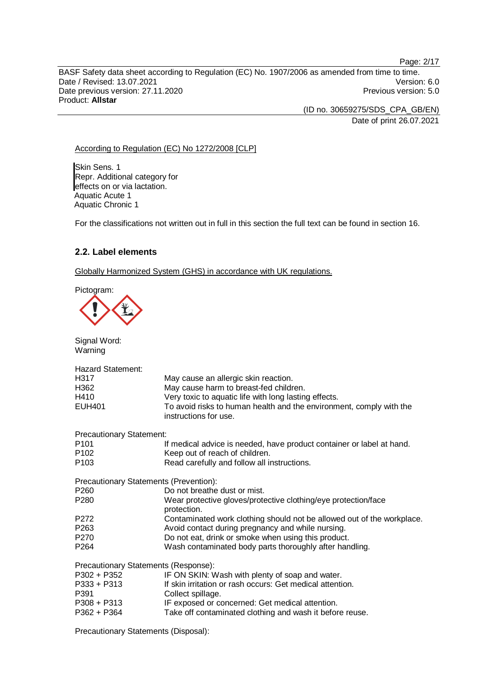Page: 2/17 BASF Safety data sheet according to Regulation (EC) No. 1907/2006 as amended from time to time. Date / Revised: 13.07.2021 Version: 6.0 Date previous version: 27.11.2020 **Previous version: 5.0** Previous version: 5.0 Product: **Allstar**

> (ID no. 30659275/SDS\_CPA\_GB/EN) Date of print 26.07.2021

#### According to Regulation (EC) No 1272/2008 [CLP]

Skin Sens. 1 Repr. Additional category for effects on or via lactation. Aquatic Acute 1 Aquatic Chronic 1

For the classifications not written out in full in this section the full text can be found in section 16.

#### **2.2. Label elements**

Globally Harmonized System (GHS) in accordance with UK regulations.

Pictogram:

Signal Word:



| Warning                                |                                                                                              |
|----------------------------------------|----------------------------------------------------------------------------------------------|
| <b>Hazard Statement:</b>               |                                                                                              |
| H317                                   | May cause an allergic skin reaction.                                                         |
| H362                                   | May cause harm to breast-fed children.                                                       |
| H410                                   | Very toxic to aquatic life with long lasting effects.                                        |
| <b>EUH401</b>                          | To avoid risks to human health and the environment, comply with the<br>instructions for use. |
| <b>Precautionary Statement:</b>        |                                                                                              |
| P101                                   | If medical advice is needed, have product container or label at hand.                        |
| P <sub>102</sub>                       | Keep out of reach of children.                                                               |
| P <sub>103</sub>                       | Read carefully and follow all instructions.                                                  |
| Precautionary Statements (Prevention): |                                                                                              |
| P <sub>260</sub>                       | Do not breathe dust or mist.                                                                 |
| P <sub>280</sub>                       | Wear protective gloves/protective clothing/eye protection/face<br>protection.                |
| P <sub>272</sub>                       | Contaminated work clothing should not be allowed out of the workplace.                       |
| P263                                   | Avoid contact during pregnancy and while nursing.                                            |
| P270                                   | Do not eat, drink or smoke when using this product.                                          |
| P <sub>264</sub>                       | Wash contaminated body parts thoroughly after handling.                                      |
| Precautionary Statements (Response):   |                                                                                              |
| $P302 + P352$                          | IF ON SKIN: Wash with plenty of soap and water.                                              |
| $P333 + P313$                          | If skin irritation or rash occurs: Get medical attention.                                    |
| P391                                   | Collect spillage.                                                                            |
| P308 + P313                            | IF exposed or concerned: Get medical attention.                                              |
| $P362 + P364$                          | Take off contaminated clothing and wash it before reuse.                                     |

Precautionary Statements (Disposal):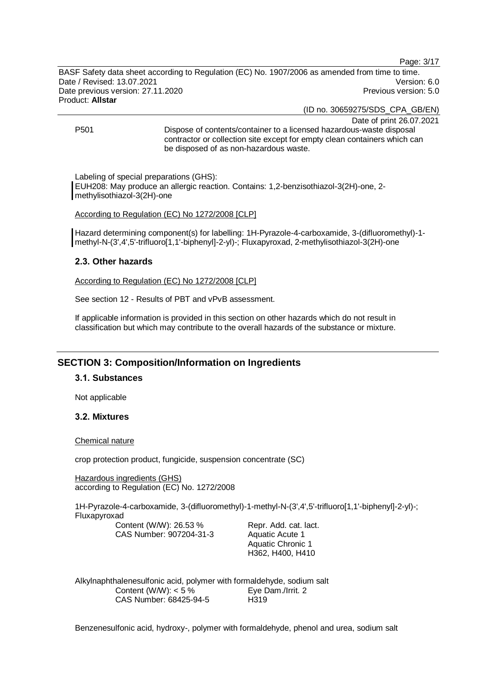Page: 3/17

BASF Safety data sheet according to Regulation (EC) No. 1907/2006 as amended from time to time. Date / Revised: 13.07.2021 Version: 6.0 Date previous version: 27.11.2020 **Previous version: 5.0** Previous version: 5.0 Product: **Allstar**

(ID no. 30659275/SDS\_CPA\_GB/EN)

Date of print 26.07.2021

P501 Dispose of contents/container to a licensed hazardous-waste disposal contractor or collection site except for empty clean containers which can be disposed of as non-hazardous waste.

Labeling of special preparations (GHS): EUH208: May produce an allergic reaction. Contains: 1,2-benzisothiazol-3(2H)-one, 2 methylisothiazol-3(2H)-one

#### According to Regulation (EC) No 1272/2008 [CLP]

Hazard determining component(s) for labelling: 1H-Pyrazole-4-carboxamide, 3-(difluoromethyl)-1 methyl-N-(3',4',5'-trifluoro[1,1'-biphenyl]-2-yl)-; Fluxapyroxad, 2-methylisothiazol-3(2H)-one

#### **2.3. Other hazards**

According to Regulation (EC) No 1272/2008 [CLP]

See section 12 - Results of PBT and vPvB assessment.

If applicable information is provided in this section on other hazards which do not result in classification but which may contribute to the overall hazards of the substance or mixture.

## **SECTION 3: Composition/Information on Ingredients**

#### **3.1. Substances**

Not applicable

#### **3.2. Mixtures**

#### Chemical nature

crop protection product, fungicide, suspension concentrate (SC)

Hazardous ingredients (GHS) according to Regulation (EC) No. 1272/2008

1H-Pyrazole-4-carboxamide, 3-(difluoromethyl)-1-methyl-N-(3',4',5'-trifluoro[1,1'-biphenyl]-2-yl)-; Fluxapyroxad

Content (W/W): 26.53 % CAS Number: 907204-31-3

Repr. Add. cat. lact. Aquatic Acute 1 Aquatic Chronic 1 H362, H400, H410

Alkylnaphthalenesulfonic acid, polymer with formaldehyde, sodium salt Content (W/W):  $< 5 \%$ CAS Number: 68425-94-5 Eye Dam./Irrit. 2 H319

Benzenesulfonic acid, hydroxy-, polymer with formaldehyde, phenol and urea, sodium salt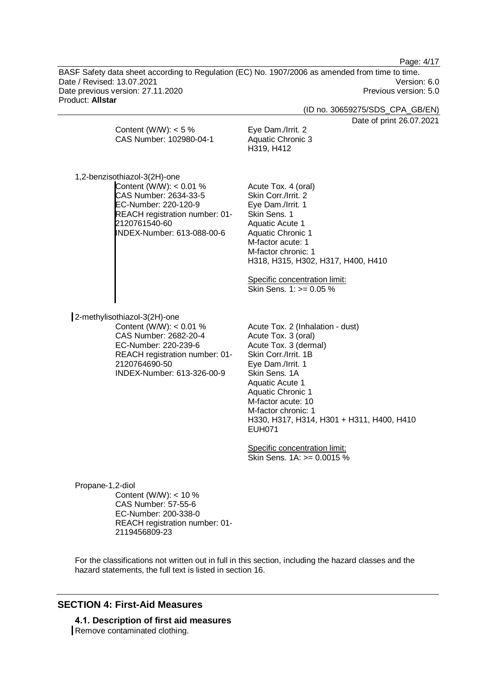Page: 4/17

BASF Safety data sheet according to Regulation (EC) No. 1907/2006 as amended from time to time. Date / Revised: 13.07.2021 Version: 6.0 Date previous version: 27.11.2020 **Previous version: 5.0** Previous version: 5.0 Product: **Allstar**

(ID no. 30659275/SDS\_CPA\_GB/EN)

 $int 26.07.2021$ 

|                                                                                                                                                                                           | Date of pr                                                                                                                                                                                                                 |
|-------------------------------------------------------------------------------------------------------------------------------------------------------------------------------------------|----------------------------------------------------------------------------------------------------------------------------------------------------------------------------------------------------------------------------|
| Content (W/W): $<$ 5 %<br>CAS Number: 102980-04-1                                                                                                                                         | Eye Dam./Irrit. 2<br><b>Aquatic Chronic 3</b><br>H319, H412                                                                                                                                                                |
| 1,2-benzisothiazol-3(2H)-one<br>Content (W/W): $< 0.01$ %<br>CAS Number: 2634-33-5                                                                                                        | Acute Tox. 4 (oral)<br>Skin Corr./Irrit. 2                                                                                                                                                                                 |
| EC-Number: 220-120-9<br>REACH registration number: 01-<br>2120761540-60<br>INDEX-Number: 613-088-00-6                                                                                     | Eye Dam./Irrit. 1<br>Skin Sens. 1<br><b>Aquatic Acute 1</b><br><b>Aquatic Chronic 1</b><br>M-factor acute: 1<br>M-factor chronic: 1<br>H318, H315, H302, H317, H400, H410<br>Specific concentration limit:                 |
|                                                                                                                                                                                           | Skin Sens. 1: >= 0.05 %                                                                                                                                                                                                    |
| 2-methylisothiazol-3(2H)-one<br>Content (W/W): < 0.01 %<br>CAS Number: 2682-20-4<br>EC-Number: 220-239-6<br>REACH registration number: 01-<br>2120764690-50<br>INDEX-Number: 613-326-00-9 | Acute Tox. 2 (Inhalation - dust)<br>Acute Tox. 3 (oral)<br>Acute Tox. 3 (dermal)<br>Skin Corr./Irrit. 1B<br>Eye Dam./Irrit. 1<br>Skin Sens, 1A<br><b>Aquatic Acute 1</b><br><b>Aquatic Chronic 1</b><br>M-factor acute: 10 |

Specific concentration limit: Skin Sens. 1A: >= 0.0015 %

H330, H317, H314, H301 + H311, H400, H410

M-factor chronic: 1

EUH071

Propane-1,2-diol Content (W/W): < 10 % CAS Number: 57-55-6 EC-Number: 200-338-0 REACH registration number: 01- 2119456809-23

For the classifications not written out in full in this section, including the hazard classes and the hazard statements, the full text is listed in section 16.

## **SECTION 4: First-Aid Measures**

**4.1. Description of first aid measures** Remove contaminated clothing.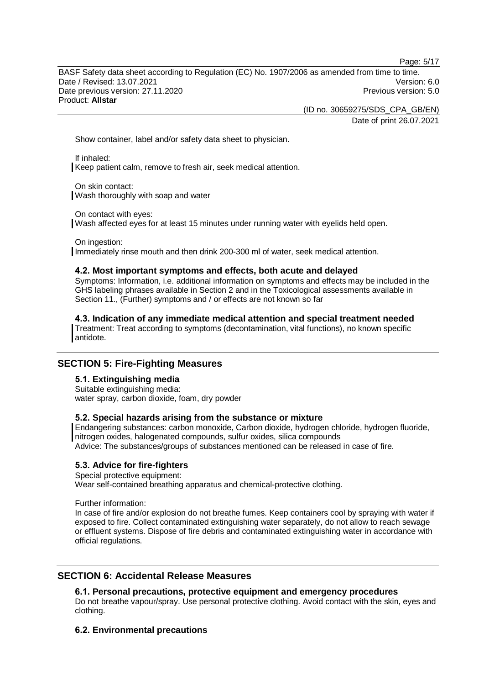Page: 5/17

BASF Safety data sheet according to Regulation (EC) No. 1907/2006 as amended from time to time. Date / Revised: 13.07.2021 Version: 6.0 Date previous version: 27.11.2020 **Previous version: 5.0** Previous version: 5.0 Product: **Allstar**

(ID no. 30659275/SDS\_CPA\_GB/EN)

Date of print 26.07.2021

Show container, label and/or safety data sheet to physician.

If inhaled: Keep patient calm, remove to fresh air, seek medical attention.

On skin contact: Wash thoroughly with soap and water

On contact with eyes:

Wash affected eyes for at least 15 minutes under running water with eyelids held open.

On ingestion: Immediately rinse mouth and then drink 200-300 ml of water, seek medical attention.

#### **4.2. Most important symptoms and effects, both acute and delayed**

Symptoms: Information, i.e. additional information on symptoms and effects may be included in the GHS labeling phrases available in Section 2 and in the Toxicological assessments available in Section 11., (Further) symptoms and / or effects are not known so far

**4.3. Indication of any immediate medical attention and special treatment needed** Treatment: Treat according to symptoms (decontamination, vital functions), no known specific antidote.

## **SECTION 5: Fire-Fighting Measures**

## **5.1. Extinguishing media**

Suitable extinguishing media: water spray, carbon dioxide, foam, dry powder

#### **5.2. Special hazards arising from the substance or mixture**

Endangering substances: carbon monoxide, Carbon dioxide, hydrogen chloride, hydrogen fluoride, nitrogen oxides, halogenated compounds, sulfur oxides, silica compounds Advice: The substances/groups of substances mentioned can be released in case of fire.

#### **5.3. Advice for fire-fighters**

Special protective equipment:

Wear self-contained breathing apparatus and chemical-protective clothing.

Further information:

In case of fire and/or explosion do not breathe fumes. Keep containers cool by spraying with water if exposed to fire. Collect contaminated extinguishing water separately, do not allow to reach sewage or effluent systems. Dispose of fire debris and contaminated extinguishing water in accordance with official regulations.

## **SECTION 6: Accidental Release Measures**

#### **6.1. Personal precautions, protective equipment and emergency procedures**

Do not breathe vapour/spray. Use personal protective clothing. Avoid contact with the skin, eyes and clothing.

## **6.2. Environmental precautions**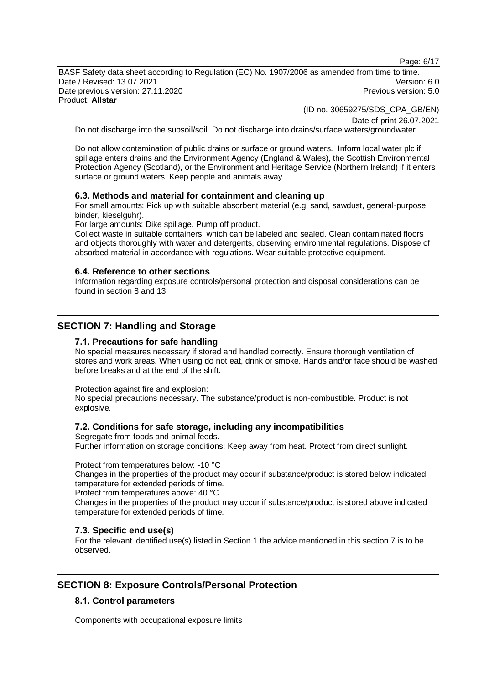Page: 6/17

BASF Safety data sheet according to Regulation (EC) No. 1907/2006 as amended from time to time. Date / Revised: 13.07.2021 Version: 6.0 Date previous version: 27.11.2020 **Previous version: 5.0** Previous version: 5.0 Product: **Allstar**

(ID no. 30659275/SDS\_CPA\_GB/EN)

Date of print 26.07.2021

Do not discharge into the subsoil/soil. Do not discharge into drains/surface waters/groundwater.

Do not allow contamination of public drains or surface or ground waters. Inform local water plc if spillage enters drains and the Environment Agency (England & Wales), the Scottish Environmental Protection Agency (Scotland), or the Environment and Heritage Service (Northern Ireland) if it enters surface or ground waters. Keep people and animals away.

#### **6.3. Methods and material for containment and cleaning up**

For small amounts: Pick up with suitable absorbent material (e.g. sand, sawdust, general-purpose binder, kieselguhr).

For large amounts: Dike spillage. Pump off product.

Collect waste in suitable containers, which can be labeled and sealed. Clean contaminated floors and objects thoroughly with water and detergents, observing environmental regulations. Dispose of absorbed material in accordance with regulations. Wear suitable protective equipment.

#### **6.4. Reference to other sections**

Information regarding exposure controls/personal protection and disposal considerations can be found in section 8 and 13.

## **SECTION 7: Handling and Storage**

#### **7.1. Precautions for safe handling**

No special measures necessary if stored and handled correctly. Ensure thorough ventilation of stores and work areas. When using do not eat, drink or smoke. Hands and/or face should be washed before breaks and at the end of the shift.

Protection against fire and explosion:

No special precautions necessary. The substance/product is non-combustible. Product is not explosive.

#### **7.2. Conditions for safe storage, including any incompatibilities**

Segregate from foods and animal feeds. Further information on storage conditions: Keep away from heat. Protect from direct sunlight.

Protect from temperatures below: -10 °C

Changes in the properties of the product may occur if substance/product is stored below indicated temperature for extended periods of time.

Protect from temperatures above: 40 °C

Changes in the properties of the product may occur if substance/product is stored above indicated temperature for extended periods of time.

#### **7.3. Specific end use(s)**

For the relevant identified use(s) listed in Section 1 the advice mentioned in this section 7 is to be observed.

## **SECTION 8: Exposure Controls/Personal Protection**

## **8.1. Control parameters**

Components with occupational exposure limits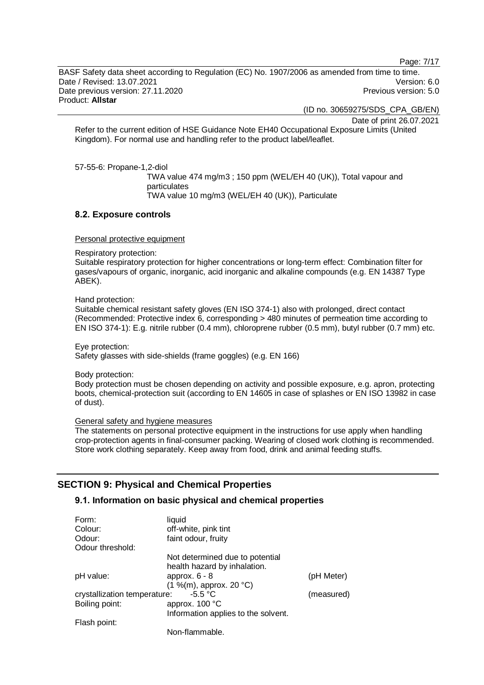Page: 7/17

BASF Safety data sheet according to Regulation (EC) No. 1907/2006 as amended from time to time. Date / Revised: 13.07.2021 Version: 6.0 Date previous version: 27.11.2020 **Previous version: 5.0** Previous version: 5.0 Product: **Allstar**

(ID no. 30659275/SDS\_CPA\_GB/EN)

Date of print 26.07.2021

Refer to the current edition of HSE Guidance Note EH40 Occupational Exposure Limits (United Kingdom). For normal use and handling refer to the product label/leaflet.

57-55-6: Propane-1,2-diol

TWA value 474 mg/m3 ; 150 ppm (WEL/EH 40 (UK)), Total vapour and particulates TWA value 10 mg/m3 (WEL/EH 40 (UK)), Particulate

#### **8.2. Exposure controls**

Personal protective equipment

Respiratory protection:

Suitable respiratory protection for higher concentrations or long-term effect: Combination filter for gases/vapours of organic, inorganic, acid inorganic and alkaline compounds (e.g. EN 14387 Type ABEK).

Hand protection:

Suitable chemical resistant safety gloves (EN ISO 374-1) also with prolonged, direct contact (Recommended: Protective index 6, corresponding > 480 minutes of permeation time according to EN ISO 374-1): E.g. nitrile rubber (0.4 mm), chloroprene rubber (0.5 mm), butyl rubber (0.7 mm) etc.

Eye protection: Safety glasses with side-shields (frame goggles) (e.g. EN 166)

Body protection:

Body protection must be chosen depending on activity and possible exposure, e.g. apron, protecting boots, chemical-protection suit (according to EN 14605 in case of splashes or EN ISO 13982 in case of dust).

General safety and hygiene measures

The statements on personal protective equipment in the instructions for use apply when handling crop-protection agents in final-consumer packing. Wearing of closed work clothing is recommended. Store work clothing separately. Keep away from food, drink and animal feeding stuffs.

## **SECTION 9: Physical and Chemical Properties**

#### **9.1. Information on basic physical and chemical properties**

| Form:                                     | liquid                              |            |
|-------------------------------------------|-------------------------------------|------------|
| Colour:                                   | off-white, pink tint                |            |
| Odour:                                    | faint odour, fruity                 |            |
| Odour threshold:                          |                                     |            |
|                                           | Not determined due to potential     |            |
|                                           | health hazard by inhalation.        |            |
| pH value:                                 | approx. $6 - 8$                     | (pH Meter) |
|                                           | (1 %(m), approx. 20 °C)             |            |
| $-5.5 °C$<br>crystallization temperature: |                                     | (measured) |
| Boiling point:                            | approx. 100 °C                      |            |
|                                           | Information applies to the solvent. |            |
| Flash point:                              |                                     |            |
|                                           | Non-flammable.                      |            |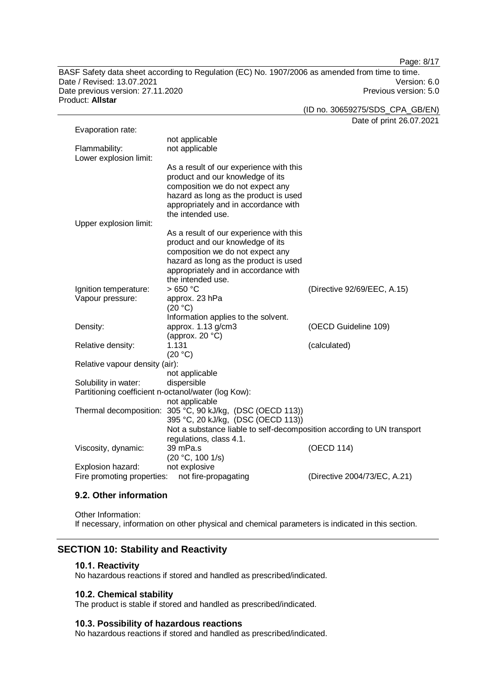Page: 8/17

BASF Safety data sheet according to Regulation (EC) No. 1907/2006 as amended from time to time. Date / Revised: 13.07.2021 Version: 6.0 Date previous version: 27.11.2020 **Previous version: 5.0** Previous version: 5.0 Product: **Allstar**

(ID no. 30659275/SDS\_CPA\_GB/EN)

Date of print 26.07.2021

| Evaporation rate:                                   |                                                                               |                              |
|-----------------------------------------------------|-------------------------------------------------------------------------------|------------------------------|
|                                                     | not applicable                                                                |                              |
| Flammability:                                       | not applicable                                                                |                              |
| Lower explosion limit:                              |                                                                               |                              |
|                                                     | As a result of our experience with this                                       |                              |
|                                                     | product and our knowledge of its                                              |                              |
|                                                     | composition we do not expect any                                              |                              |
|                                                     | hazard as long as the product is used<br>appropriately and in accordance with |                              |
|                                                     | the intended use.                                                             |                              |
| Upper explosion limit:                              |                                                                               |                              |
|                                                     | As a result of our experience with this                                       |                              |
|                                                     | product and our knowledge of its                                              |                              |
|                                                     | composition we do not expect any                                              |                              |
|                                                     | hazard as long as the product is used                                         |                              |
|                                                     | appropriately and in accordance with                                          |                              |
|                                                     | the intended use.                                                             |                              |
| Ignition temperature:                               | >650 °C                                                                       | (Directive 92/69/EEC, A.15)  |
| Vapour pressure:                                    | approx. 23 hPa                                                                |                              |
|                                                     | (20 °C)                                                                       |                              |
|                                                     | Information applies to the solvent.                                           |                              |
| Density:                                            | approx. 1.13 g/cm3                                                            | (OECD Guideline 109)         |
|                                                     | (approx. $20 °C$ )                                                            |                              |
| Relative density:                                   | 1.131                                                                         | (calculated)                 |
|                                                     | (20 °C)                                                                       |                              |
| Relative vapour density (air):                      |                                                                               |                              |
|                                                     | not applicable                                                                |                              |
| Solubility in water:                                | dispersible                                                                   |                              |
| Partitioning coefficient n-octanol/water (log Kow): |                                                                               |                              |
|                                                     | not applicable                                                                |                              |
|                                                     | Thermal decomposition: 305 °C, 90 kJ/kg, (DSC (OECD 113))                     |                              |
|                                                     | 395 °C, 20 kJ/kg, (DSC (OECD 113))                                            |                              |
|                                                     | Not a substance liable to self-decomposition according to UN transport        |                              |
|                                                     | regulations, class 4.1.<br>39 mPa.s                                           | (OECD 114)                   |
| Viscosity, dynamic:                                 | (20 °C, 100 1/s)                                                              |                              |
| Explosion hazard:                                   | not explosive                                                                 |                              |
| Fire promoting properties:                          | not fire-propagating                                                          | (Directive 2004/73/EC, A.21) |
|                                                     |                                                                               |                              |

### **9.2. Other information**

Other Information: If necessary, information on other physical and chemical parameters is indicated in this section.

### **SECTION 10: Stability and Reactivity**

#### **10.1. Reactivity**

No hazardous reactions if stored and handled as prescribed/indicated.

### **10.2. Chemical stability**

The product is stable if stored and handled as prescribed/indicated.

#### **10.3. Possibility of hazardous reactions**

No hazardous reactions if stored and handled as prescribed/indicated.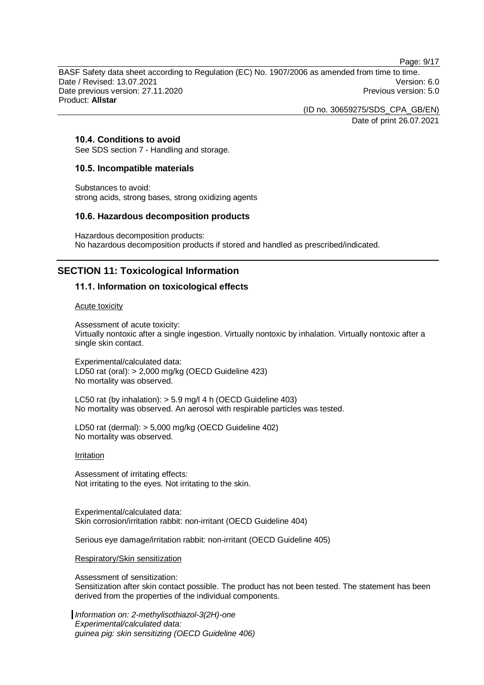Page: 9/17

BASF Safety data sheet according to Regulation (EC) No. 1907/2006 as amended from time to time. Date / Revised: 13.07.2021 Version: 6.0 Date previous version: 27.11.2020 **Previous version: 5.0** Previous version: 5.0 Product: **Allstar**

> (ID no. 30659275/SDS\_CPA\_GB/EN) Date of print 26.07.2021

#### **10.4. Conditions to avoid**

See SDS section 7 - Handling and storage.

#### **10.5. Incompatible materials**

Substances to avoid: strong acids, strong bases, strong oxidizing agents

#### **10.6. Hazardous decomposition products**

Hazardous decomposition products: No hazardous decomposition products if stored and handled as prescribed/indicated.

## **SECTION 11: Toxicological Information**

#### **11.1. Information on toxicological effects**

#### Acute toxicity

Assessment of acute toxicity: Virtually nontoxic after a single ingestion. Virtually nontoxic by inhalation. Virtually nontoxic after a single skin contact.

Experimental/calculated data: LD50 rat (oral): > 2,000 mg/kg (OECD Guideline 423) No mortality was observed.

LC50 rat (by inhalation): > 5.9 mg/l 4 h (OECD Guideline 403) No mortality was observed. An aerosol with respirable particles was tested.

LD50 rat (dermal): > 5,000 mg/kg (OECD Guideline 402) No mortality was observed.

#### Irritation

Assessment of irritating effects: Not irritating to the eyes. Not irritating to the skin.

Experimental/calculated data: Skin corrosion/irritation rabbit: non-irritant (OECD Guideline 404)

Serious eye damage/irritation rabbit: non-irritant (OECD Guideline 405)

Respiratory/Skin sensitization

Assessment of sensitization: Sensitization after skin contact possible. The product has not been tested. The statement has been derived from the properties of the individual components.

*Information on: 2-methylisothiazol-3(2H)-one Experimental/calculated data: guinea pig: skin sensitizing (OECD Guideline 406)*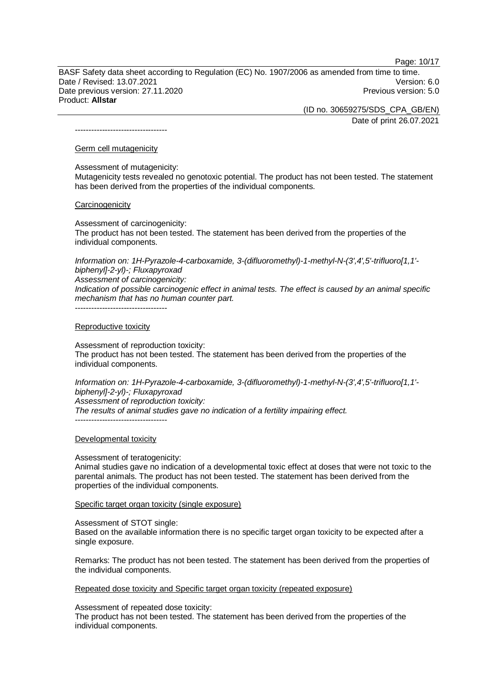Page: 10/17

BASF Safety data sheet according to Regulation (EC) No. 1907/2006 as amended from time to time. Date / Revised: 13.07.2021 Version: 6.0 Date previous version: 27.11.2020 **Previous version: 5.0** Previous version: 5.0 Product: **Allstar**

> (ID no. 30659275/SDS\_CPA\_GB/EN) Date of print 26.07.2021

----------------------------------

#### Germ cell mutagenicity

Assessment of mutagenicity:

Mutagenicity tests revealed no genotoxic potential. The product has not been tested. The statement has been derived from the properties of the individual components.

#### **Carcinogenicity**

Assessment of carcinogenicity:

The product has not been tested. The statement has been derived from the properties of the individual components.

*Information on: 1H-Pyrazole-4-carboxamide, 3-(difluoromethyl)-1-methyl-N-(3',4',5'-trifluoro[1,1' biphenyl]-2-yl)-; Fluxapyroxad Assessment of carcinogenicity:*

*Indication of possible carcinogenic effect in animal tests. The effect is caused by an animal specific mechanism that has no human counter part.*

----------------------------------

#### Reproductive toxicity

Assessment of reproduction toxicity: The product has not been tested. The statement has been derived from the properties of the individual components.

*Information on: 1H-Pyrazole-4-carboxamide, 3-(difluoromethyl)-1-methyl-N-(3',4',5'-trifluoro[1,1' biphenyl]-2-yl)-; Fluxapyroxad Assessment of reproduction toxicity: The results of animal studies gave no indication of a fertility impairing effect.* ----------------------------------

#### Developmental toxicity

#### Assessment of teratogenicity:

Animal studies gave no indication of a developmental toxic effect at doses that were not toxic to the parental animals. The product has not been tested. The statement has been derived from the properties of the individual components.

#### Specific target organ toxicity (single exposure)

Assessment of STOT single:

Based on the available information there is no specific target organ toxicity to be expected after a single exposure.

Remarks: The product has not been tested. The statement has been derived from the properties of the individual components.

Repeated dose toxicity and Specific target organ toxicity (repeated exposure)

Assessment of repeated dose toxicity:

The product has not been tested. The statement has been derived from the properties of the individual components.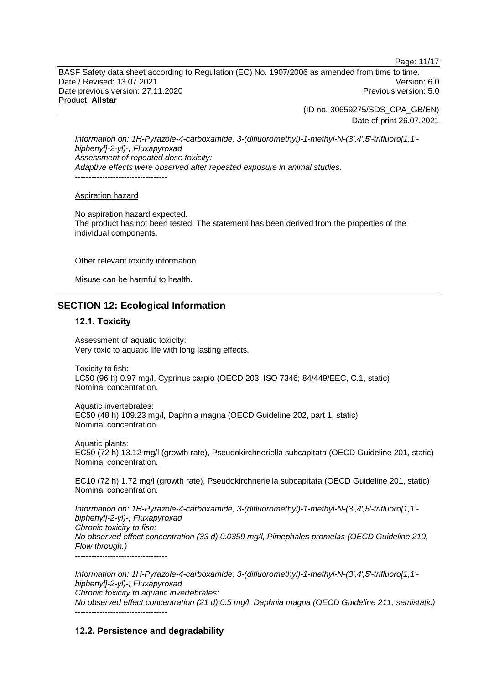Page: 11/17

BASF Safety data sheet according to Regulation (EC) No. 1907/2006 as amended from time to time. Date / Revised: 13.07.2021 Version: 6.0 Date previous version: 27.11.2020 **Previous version: 5.0** Previous version: 5.0 Product: **Allstar**

> (ID no. 30659275/SDS\_CPA\_GB/EN) Date of print 26.07.2021

*Information on: 1H-Pyrazole-4-carboxamide, 3-(difluoromethyl)-1-methyl-N-(3',4',5'-trifluoro[1,1' biphenyl]-2-yl)-; Fluxapyroxad Assessment of repeated dose toxicity: Adaptive effects were observed after repeated exposure in animal studies.* ----------------------------------

#### Aspiration hazard

No aspiration hazard expected. The product has not been tested. The statement has been derived from the properties of the individual components.

#### Other relevant toxicity information

Misuse can be harmful to health.

## **SECTION 12: Ecological Information**

#### **12.1. Toxicity**

Assessment of aquatic toxicity: Very toxic to aquatic life with long lasting effects.

Toxicity to fish: LC50 (96 h) 0.97 mg/l, Cyprinus carpio (OECD 203; ISO 7346; 84/449/EEC, C.1, static) Nominal concentration.

Aquatic invertebrates: EC50 (48 h) 109.23 mg/l, Daphnia magna (OECD Guideline 202, part 1, static) Nominal concentration.

Aquatic plants: EC50 (72 h) 13.12 mg/l (growth rate), Pseudokirchneriella subcapitata (OECD Guideline 201, static) Nominal concentration.

EC10 (72 h) 1.72 mg/l (growth rate), Pseudokirchneriella subcapitata (OECD Guideline 201, static) Nominal concentration.

*Information on: 1H-Pyrazole-4-carboxamide, 3-(difluoromethyl)-1-methyl-N-(3',4',5'-trifluoro[1,1' biphenyl]-2-yl)-; Fluxapyroxad Chronic toxicity to fish: No observed effect concentration (33 d) 0.0359 mg/l, Pimephales promelas (OECD Guideline 210, Flow through.)* ----------------------------------

*Information on: 1H-Pyrazole-4-carboxamide, 3-(difluoromethyl)-1-methyl-N-(3',4',5'-trifluoro[1,1' biphenyl]-2-yl)-; Fluxapyroxad Chronic toxicity to aquatic invertebrates: No observed effect concentration (21 d) 0.5 mg/l, Daphnia magna (OECD Guideline 211, semistatic)*

## **12.2. Persistence and degradability**

----------------------------------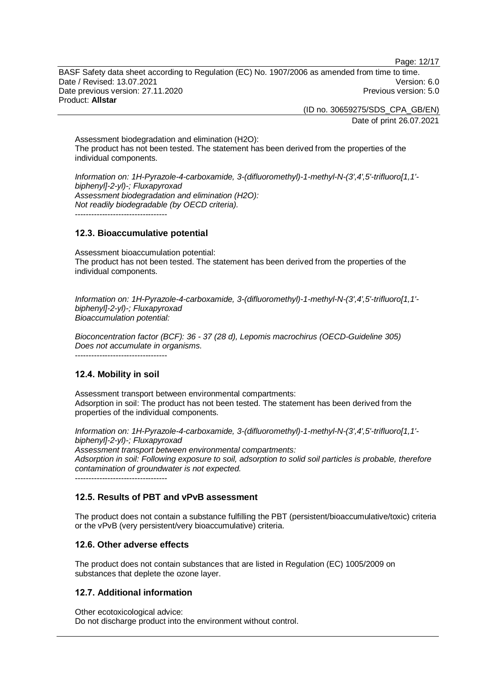Page: 12/17

BASF Safety data sheet according to Regulation (EC) No. 1907/2006 as amended from time to time. Date / Revised: 13.07.2021 Version: 6.0 Date previous version: 27.11.2020 **Previous version: 5.0** Previous version: 5.0 Product: **Allstar**

> (ID no. 30659275/SDS\_CPA\_GB/EN) Date of print 26.07.2021

Assessment biodegradation and elimination (H2O): The product has not been tested. The statement has been derived from the properties of the individual components.

*Information on: 1H-Pyrazole-4-carboxamide, 3-(difluoromethyl)-1-methyl-N-(3',4',5'-trifluoro[1,1' biphenyl]-2-yl)-; Fluxapyroxad Assessment biodegradation and elimination (H2O): Not readily biodegradable (by OECD criteria).*  $-$ 

## **12.3. Bioaccumulative potential**

Assessment bioaccumulation potential: The product has not been tested. The statement has been derived from the properties of the individual components.

*Information on: 1H-Pyrazole-4-carboxamide, 3-(difluoromethyl)-1-methyl-N-(3',4',5'-trifluoro[1,1' biphenyl]-2-yl)-; Fluxapyroxad Bioaccumulation potential:*

*Bioconcentration factor (BCF): 36 - 37 (28 d), Lepomis macrochirus (OECD-Guideline 305) Does not accumulate in organisms.*

## **12.4. Mobility in soil**

----------------------------------

Assessment transport between environmental compartments: Adsorption in soil: The product has not been tested. The statement has been derived from the properties of the individual components.

*Information on: 1H-Pyrazole-4-carboxamide, 3-(difluoromethyl)-1-methyl-N-(3',4',5'-trifluoro[1,1' biphenyl]-2-yl)-; Fluxapyroxad Assessment transport between environmental compartments: Adsorption in soil: Following exposure to soil, adsorption to solid soil particles is probable, therefore contamination of groundwater is not expected.*

----------------------------------

## **12.5. Results of PBT and vPvB assessment**

The product does not contain a substance fulfilling the PBT (persistent/bioaccumulative/toxic) criteria or the vPvB (very persistent/very bioaccumulative) criteria.

#### **12.6. Other adverse effects**

The product does not contain substances that are listed in Regulation (EC) 1005/2009 on substances that deplete the ozone layer.

#### **12.7. Additional information**

Other ecotoxicological advice: Do not discharge product into the environment without control.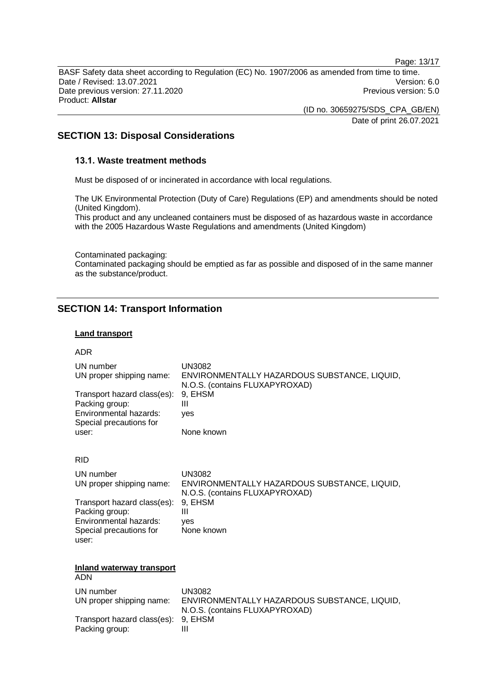Page: 13/17

BASF Safety data sheet according to Regulation (EC) No. 1907/2006 as amended from time to time. Date / Revised: 13.07.2021 Version: 6.0 Date previous version: 27.11.2020 **Previous version: 5.0** Previous version: 5.0 Product: **Allstar**

> (ID no. 30659275/SDS\_CPA\_GB/EN) Date of print 26.07.2021

## **SECTION 13: Disposal Considerations**

#### **13.1. Waste treatment methods**

Must be disposed of or incinerated in accordance with local regulations.

The UK Environmental Protection (Duty of Care) Regulations (EP) and amendments should be noted (United Kingdom).

This product and any uncleaned containers must be disposed of as hazardous waste in accordance with the 2005 Hazardous Waste Regulations and amendments (United Kingdom)

Contaminated packaging:

Contaminated packaging should be emptied as far as possible and disposed of in the same manner as the substance/product.

## **SECTION 14: Transport Information**

#### **Land transport**

#### ADR

| UN number<br>UN proper shipping name:<br>Transport hazard class(es):<br>Packing group:<br>Environmental hazards:<br>Special precautions for<br>user:               | UN3082<br>ENVIRONMENTALLY HAZARDOUS SUBSTANCE, LIQUID,<br>N.O.S. (contains FLUXAPYROXAD)<br>9. EHSM<br>Ш<br>ves<br>None known        |
|--------------------------------------------------------------------------------------------------------------------------------------------------------------------|--------------------------------------------------------------------------------------------------------------------------------------|
| <b>RID</b><br>UN number<br>UN proper shipping name:<br>Transport hazard class(es):<br>Packing group:<br>Environmental hazards:<br>Special precautions for<br>user: | <b>UN3082</b><br>ENVIRONMENTALLY HAZARDOUS SUBSTANCE, LIQUID,<br>N.O.S. (contains FLUXAPYROXAD)<br>9, EHSM<br>Ш<br>ves<br>None known |
| <b>Inland waterway transport</b><br><b>ADN</b>                                                                                                                     |                                                                                                                                      |
| UN number<br>UN proper shipping name:<br>Transport hazard class(es):<br>Packing group:                                                                             | <b>UN3082</b><br>ENVIRONMENTALLY HAZARDOUS SUBSTANCE, LIQUID,<br>N.O.S. (contains FLUXAPYROXAD)<br>9, EHSM<br>Ш                      |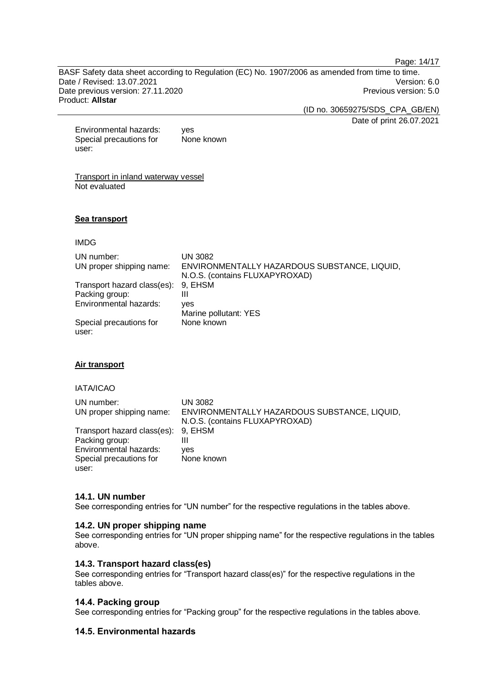Page: 14/17

BASF Safety data sheet according to Regulation (EC) No. 1907/2006 as amended from time to time. Date / Revised: 13.07.2021 Version: 6.0 Date previous version: 27.11.2020 **Previous version: 5.0** Previous version: 5.0 Product: **Allstar**

(ID no. 30659275/SDS\_CPA\_GB/EN)

Date of print 26.07.2021

Environmental hazards: yes Special precautions for user: None known

Transport in inland waterway vessel Not evaluated

#### **Sea transport**

IMDG

| UN number:<br>UN proper shipping name: | UN 3082<br>ENVIRONMENTALLY HAZARDOUS SUBSTANCE, LIQUID,<br>N.O.S. (contains FLUXAPYROXAD) |
|----------------------------------------|-------------------------------------------------------------------------------------------|
| Transport hazard class(es):            | 9. EHSM                                                                                   |
| Packing group:                         | Ш                                                                                         |
| Environmental hazards:                 | ves                                                                                       |
|                                        | Marine pollutant: YES                                                                     |
| Special precautions for<br>user:       | None known                                                                                |

#### **Air transport**

IATA/ICAO

| UN number:<br>UN proper shipping name: | UN 3082<br>ENVIRONMENTALLY HAZARDOUS SUBSTANCE, LIQUID, |
|----------------------------------------|---------------------------------------------------------|
|                                        | N.O.S. (contains FLUXAPYROXAD)                          |
| Transport hazard class(es): 9, EHSM    |                                                         |
| Packing group:                         | Ш                                                       |
| Environmental hazards:                 | ves                                                     |
| Special precautions for                | None known                                              |
| user:                                  |                                                         |

#### **14.1. UN number**

See corresponding entries for "UN number" for the respective regulations in the tables above.

#### **14.2. UN proper shipping name**

See corresponding entries for "UN proper shipping name" for the respective regulations in the tables above.

#### **14.3. Transport hazard class(es)**

See corresponding entries for "Transport hazard class(es)" for the respective regulations in the tables above.

#### **14.4. Packing group**

See corresponding entries for "Packing group" for the respective regulations in the tables above.

#### **14.5. Environmental hazards**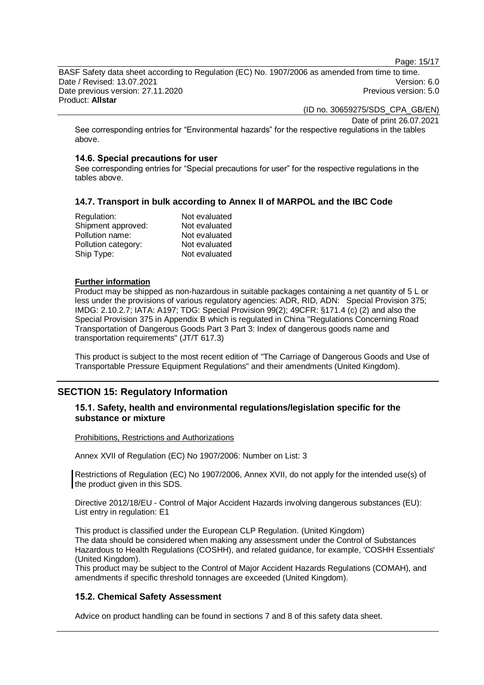Page: 15/17

BASF Safety data sheet according to Regulation (EC) No. 1907/2006 as amended from time to time. Date / Revised: 13.07.2021 Version: 6.0 Date previous version: 27.11.2020 **Previous version: 5.0** Previous version: 5.0 Product: **Allstar**

(ID no. 30659275/SDS\_CPA\_GB/EN)

Date of print 26.07.2021

See corresponding entries for "Environmental hazards" for the respective regulations in the tables above.

#### **14.6. Special precautions for user**

See corresponding entries for "Special precautions for user" for the respective regulations in the tables above.

#### **14.7. Transport in bulk according to Annex II of MARPOL and the IBC Code**

| Regulation:         | Not evaluated |
|---------------------|---------------|
| Shipment approved:  | Not evaluated |
| Pollution name:     | Not evaluated |
| Pollution category: | Not evaluated |
| Ship Type:          | Not evaluated |

#### **Further information**

Product may be shipped as non-hazardous in suitable packages containing a net quantity of 5 L or less under the provisions of various regulatory agencies: ADR, RID, ADN: Special Provision 375; IMDG: 2.10.2.7; IATA: A197; TDG: Special Provision 99(2); 49CFR: §171.4 (c) (2) and also the Special Provision 375 in Appendix B which is regulated in China "Regulations Concerning Road Transportation of Dangerous Goods Part 3 Part 3: Index of dangerous goods name and transportation requirements" (JT/T 617.3)

This product is subject to the most recent edition of "The Carriage of Dangerous Goods and Use of Transportable Pressure Equipment Regulations" and their amendments (United Kingdom).

## **SECTION 15: Regulatory Information**

#### **15.1. Safety, health and environmental regulations/legislation specific for the substance or mixture**

#### Prohibitions, Restrictions and Authorizations

Annex XVII of Regulation (EC) No 1907/2006: Number on List: 3

Restrictions of Regulation (EC) No 1907/2006, Annex XVII, do not apply for the intended use(s) of the product given in this SDS.

Directive 2012/18/EU - Control of Major Accident Hazards involving dangerous substances (EU): List entry in regulation: E1

This product is classified under the European CLP Regulation. (United Kingdom) The data should be considered when making any assessment under the Control of Substances Hazardous to Health Regulations (COSHH), and related guidance, for example, 'COSHH Essentials' (United Kingdom).

This product may be subject to the Control of Major Accident Hazards Regulations (COMAH), and amendments if specific threshold tonnages are exceeded (United Kingdom).

#### **15.2. Chemical Safety Assessment**

Advice on product handling can be found in sections 7 and 8 of this safety data sheet.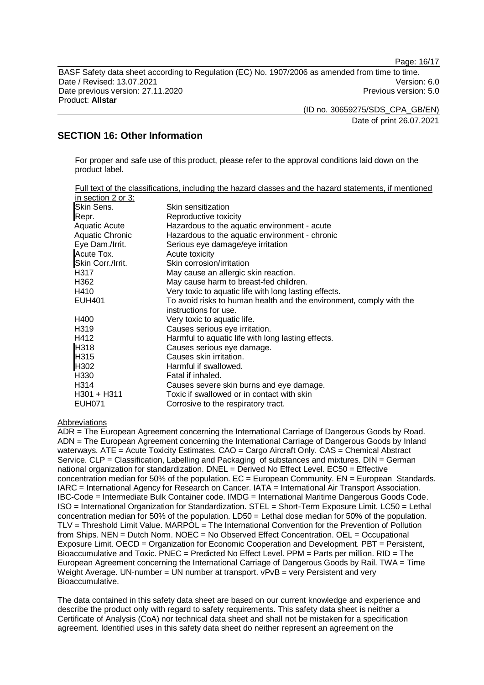Page: 16/17

BASF Safety data sheet according to Regulation (EC) No. 1907/2006 as amended from time to time. Date / Revised: 13.07.2021 Version: 6.0 Date previous version: 27.11.2020 **Previous version: 5.0** Previous version: 5.0 Product: **Allstar**

(ID no. 30659275/SDS\_CPA\_GB/EN)

Date of print 26.07.2021

## **SECTION 16: Other Information**

For proper and safe use of this product, please refer to the approval conditions laid down on the product label.

|                      | Full text of the classifications, including the hazard classes and the hazard statements, if mentioned |
|----------------------|--------------------------------------------------------------------------------------------------------|
| in section 2 or 3:   |                                                                                                        |
| Skin Sens.           | Skin sensitization                                                                                     |
| Repr.                | Reproductive toxicity                                                                                  |
| <b>Aquatic Acute</b> | Hazardous to the aquatic environment - acute                                                           |
| Aquatic Chronic      | Hazardous to the aquatic environment - chronic                                                         |
| Eye Dam./Irrit.      | Serious eye damage/eye irritation                                                                      |
| Acute Tox.           | Acute toxicity                                                                                         |
| Skin Corr./Irrit.    | Skin corrosion/irritation                                                                              |
| H317                 | May cause an allergic skin reaction.                                                                   |
| H362                 | May cause harm to breast-fed children.                                                                 |
| H410                 | Very toxic to aquatic life with long lasting effects.                                                  |
| <b>EUH401</b>        | To avoid risks to human health and the environment, comply with the                                    |
|                      | instructions for use.                                                                                  |
| H400                 | Very toxic to aquatic life.                                                                            |
| H319                 | Causes serious eye irritation.                                                                         |
| H412                 | Harmful to aquatic life with long lasting effects.                                                     |
| H318                 | Causes serious eye damage.                                                                             |
| H315                 | Causes skin irritation.                                                                                |
| H302                 | Harmful if swallowed.                                                                                  |
| H330                 | Fatal if inhaled.                                                                                      |
| H314                 | Causes severe skin burns and eye damage.                                                               |
| $H301 + H311$        | Toxic if swallowed or in contact with skin                                                             |
| <b>EUH071</b>        | Corrosive to the respiratory tract.                                                                    |

#### Abbreviations

ADR = The European Agreement concerning the International Carriage of Dangerous Goods by Road. ADN = The European Agreement concerning the International Carriage of Dangerous Goods by Inland waterways. ATE = Acute Toxicity Estimates. CAO = Cargo Aircraft Only. CAS = Chemical Abstract Service. CLP = Classification, Labelling and Packaging of substances and mixtures. DIN = German national organization for standardization. DNEL = Derived No Effect Level. EC50 = Effective concentration median for 50% of the population.  $EC =$  European Community.  $EN =$  European Standards. IARC = International Agency for Research on Cancer. IATA = International Air Transport Association. IBC-Code = Intermediate Bulk Container code. IMDG = International Maritime Dangerous Goods Code. ISO = International Organization for Standardization. STEL = Short-Term Exposure Limit. LC50 = Lethal concentration median for 50% of the population. LD50 = Lethal dose median for 50% of the population. TLV = Threshold Limit Value. MARPOL = The International Convention for the Prevention of Pollution from Ships. NEN = Dutch Norm. NOEC = No Observed Effect Concentration. OEL = Occupational Exposure Limit. OECD = Organization for Economic Cooperation and Development. PBT = Persistent, Bioaccumulative and Toxic. PNEC = Predicted No Effect Level. PPM = Parts per million. RID = The European Agreement concerning the International Carriage of Dangerous Goods by Rail. TWA = Time Weight Average. UN-number =  $\overline{UN}$  number at transport.  $\overline{v}$ PvB = very Persistent and very Bioaccumulative.

The data contained in this safety data sheet are based on our current knowledge and experience and describe the product only with regard to safety requirements. This safety data sheet is neither a Certificate of Analysis (CoA) nor technical data sheet and shall not be mistaken for a specification agreement. Identified uses in this safety data sheet do neither represent an agreement on the